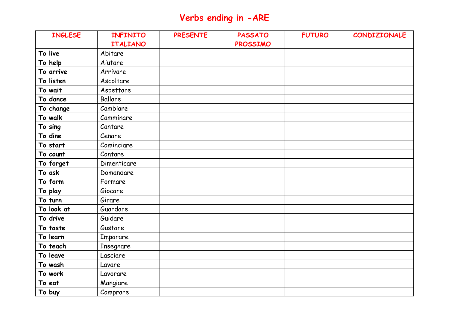## **Verbs ending in -ARE**

| <b>INGLESE</b> | <b>INFINITO</b> | <b>PRESENTE</b> | <b>PASSATO</b>  | <b>FUTURO</b> | CONDIZIONALE |
|----------------|-----------------|-----------------|-----------------|---------------|--------------|
|                | <b>ITALIANO</b> |                 | <b>PROSSIMO</b> |               |              |
| To live        | Abitare         |                 |                 |               |              |
| To help        | Aiutare         |                 |                 |               |              |
| To arrive      | Arrivare        |                 |                 |               |              |
| To listen      | Ascoltare       |                 |                 |               |              |
| To wait        | Aspettare       |                 |                 |               |              |
| To dance       | <b>Ballare</b>  |                 |                 |               |              |
| To change      | Cambiare        |                 |                 |               |              |
| To walk        | Camminare       |                 |                 |               |              |
| To sing        | Cantare         |                 |                 |               |              |
| To dine        | Cenare          |                 |                 |               |              |
| To start       | Cominciare      |                 |                 |               |              |
| To count       | Contare         |                 |                 |               |              |
| To forget      | Dimenticare     |                 |                 |               |              |
| To ask         | Domandare       |                 |                 |               |              |
| To form        | Formare         |                 |                 |               |              |
| To play        | Giocare         |                 |                 |               |              |
| To turn        | Girare          |                 |                 |               |              |
| To look at     | Guardare        |                 |                 |               |              |
| To drive       | Guidare         |                 |                 |               |              |
| To taste       | Gustare         |                 |                 |               |              |
| To learn       | Imparare        |                 |                 |               |              |
| To teach       | Insegnare       |                 |                 |               |              |
| To leave       | Lasciare        |                 |                 |               |              |
| To wash        | Lavare          |                 |                 |               |              |
| To work        | Lavorare        |                 |                 |               |              |
| To eat         | Mangiare        |                 |                 |               |              |
| To buy         | Comprare        |                 |                 |               |              |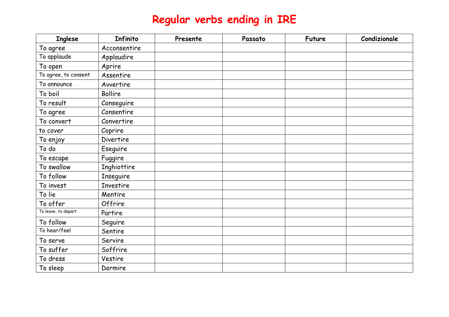## **Regular verbs ending in IRE**

| <b>Inglese</b>       | Infinito         | Presente | Passato | <b>Future</b> | Condizionale |
|----------------------|------------------|----------|---------|---------------|--------------|
| To agree             | Acconsentire     |          |         |               |              |
| To applaude          | Applaudire       |          |         |               |              |
| To open              | Aprire           |          |         |               |              |
| To agree, to consent | Assentire        |          |         |               |              |
| To announce          | Avvertire        |          |         |               |              |
| To boil              | <b>Bollire</b>   |          |         |               |              |
| To result            | Conseguire       |          |         |               |              |
| To agree             | Consentire       |          |         |               |              |
| To convert           | Convertire       |          |         |               |              |
| to cover             | Coprire          |          |         |               |              |
| To enjoy             | <b>Divertire</b> |          |         |               |              |
| To do                | Eseguire         |          |         |               |              |
| To escape            | Fuggire          |          |         |               |              |
| To swallow           | Inghiottire      |          |         |               |              |
| To follow            | <b>Inseguire</b> |          |         |               |              |
| To invest            | <b>Investire</b> |          |         |               |              |
| To lie               | Mentire          |          |         |               |              |
| To offer             | Offrire          |          |         |               |              |
| To leave, to depart  | Partire          |          |         |               |              |
| To follow            | Seguire          |          |         |               |              |
| To hear/feel         | Sentire          |          |         |               |              |
| To serve             | Servire          |          |         |               |              |
| To suffer            | Soffrire         |          |         |               |              |
| To dress             | Vestire          |          |         |               |              |
| To sleep             | Dormire          |          |         |               |              |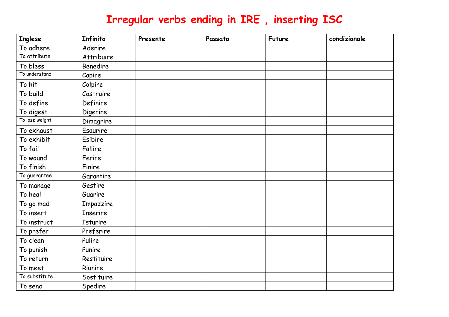## **Irregular verbs ending in IRE , inserting ISC**

| <b>Inglese</b> | Infinito        | Presente | Passato | <b>Future</b> | condizionale |
|----------------|-----------------|----------|---------|---------------|--------------|
| To adhere      | Aderire         |          |         |               |              |
| To attribute   | Attribuire      |          |         |               |              |
| To bless       | <b>Benedire</b> |          |         |               |              |
| To understand  | Capire          |          |         |               |              |
| To hit         | Colpire         |          |         |               |              |
| To build       | Costruire       |          |         |               |              |
| To define      | Definire        |          |         |               |              |
| To digest      | Digerire        |          |         |               |              |
| To lose weight | Dimagrire       |          |         |               |              |
| To exhaust     | Esaurire        |          |         |               |              |
| To exhibit     | Esibire         |          |         |               |              |
| To fail        | Fallire         |          |         |               |              |
| To wound       | Ferire          |          |         |               |              |
| To finish      | Finire          |          |         |               |              |
| To guarantee   | Garantire       |          |         |               |              |
| To manage      | Gestire         |          |         |               |              |
| To heal        | Guarire         |          |         |               |              |
| To go mad      | Impazzire       |          |         |               |              |
| To insert      | <b>Inserire</b> |          |         |               |              |
| To instruct    | Isturire        |          |         |               |              |
| To prefer      | Preferire       |          |         |               |              |
| To clean       | Pulire          |          |         |               |              |
| To punish      | Punire          |          |         |               |              |
| To return      | Restituire      |          |         |               |              |
| To meet        | Riunire         |          |         |               |              |
| To substitute  | Sostituire      |          |         |               |              |
| To send        | Spedire         |          |         |               |              |